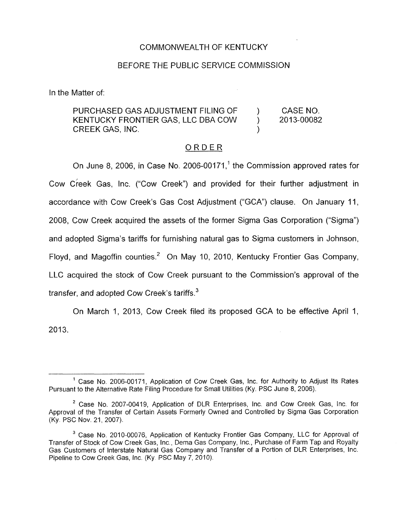#### COMMONWEALTH OF KENTUCKY

#### BEFORE THE PUBLIC SERVICE COMMISSION

In the Matter of:

## PURCHASED GAS ADJUSTMENT FILING OF ) CASE NO. KENTUCKY FRONTIER GAS, LLC DBA COW (2013-00082) CREEK GAS, INC.

#### ORDER

On June 8, 2006, in Case No. 2006-00171,' the Commission approved rates for Cow Creek Gas, Inc. ("Cow Creek") and provided for their further adjustment in accordance with Cow Creek's Gas Cost Adjustment ("GCA") clause. On January 11, 2008, Cow Creek acquired the assets of the former Sigma Gas Corporation ("Sigma") and adopted Sigma's tariffs for furnishing natural gas to Sigma customers in Johnson, Floyd, and Magoffin counties.<sup>2</sup> On May 10, 2010, Kentucky Frontier Gas Company, LLC acquired the stock of Cow Creek pursuant to the Commission's approval of the transfer, and adopted Cow Creek's tariffs.<sup>3</sup>

On March 1, 2013, Cow Creek filed its proposed GCA to be effective April 1, 2013.

<sup>&</sup>lt;sup>1</sup> Case No. 2006-00171, Application of Cow Creek Gas, Inc. for Authority to Adjust Its Rates Pursuant to the Alternative Rate Filing Procedure for Small Utilities (Ky. PSC June 8, 2006).

<sup>&</sup>lt;sup>2</sup> Case No. 2007-00419, Application of DLR Enterprises, Inc. and Cow Creek Gas, Inc. for Approval of the Transfer of Certain Assets Formerly Owned and Controlled by Sigma Gas Corporation (Ky PSC Nov. 21,2007).

<sup>&</sup>lt;sup>3</sup> Case No. 2010-00076, Application of Kentucky Frontier Gas Company, LLC for Approval of Transfer of Stock of Cow Creek Gas, Inc., Dema Gas Company, Inc., Purchase of Farm Tap and Royalty Gas Customers of Interstate Natural Gas Company and Transfer of a Portion of DLR Enterprises, Inc. Pipeline to Cow Creek Gas, Inc. (Ky. PSC May 7, 2010).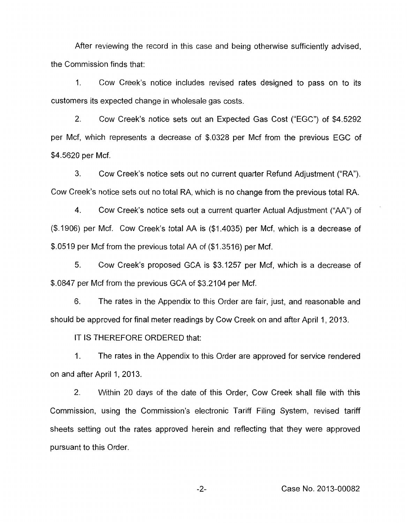After reviewing the record in this case and being otherwise sufficiently advised, the Commission finds that:

1. Cow Creek's notice includes revised rates designed to pass on to its customers its expected change in wholesale gas costs.

2. Cow Creek's notice sets out an Expected Gas Cost ("EGC") of \$4.5292 per Mcf, which represents a decrease of \$.0328 per Mcf from the previous EGC of \$4.5620 per Mcf.

3. Cow Creek's notice sets out no current quarter Refund Adjustment ("RA"). Cow Creek's notice sets out no total RA, which is no change from the previous total RA.

Cow Creek's notice sets out a current quarter Actual Adjustment ("AA") of (\$.1906) per Mcf. Cow Creek's total AA is (\$1.4035) per Mcf, which is a decrease of \$.0519 per Mcf from the previous total AA of (\$1.3516) per Mcf. 4.

*5.* Cow Creek's proposed GCA is \$3.1257 per Mcf, which is a decrease of \$.0847 per Mcf from the previous GCA of \$3.2104 per Mcf.

6. The rates in the Appendix to this Order are fair, just, and reasonable and should be approved for final meter readings by Cow Creek on and after April 1, 2013.

IT IS THEREFORE ORDERED that:

1. The rates in the Appendix to this Order are approved for service rendered on and after April 1,2013.

2. Within 20 days of the date of this Order, Cow Creek shall file with this Commission, using the Commission's electronic Tariff Filing System, revised tariff sheets setting out the rates approved herein and reflecting that they were approved pursuant to this Order.

-2- Case No. 2013-00082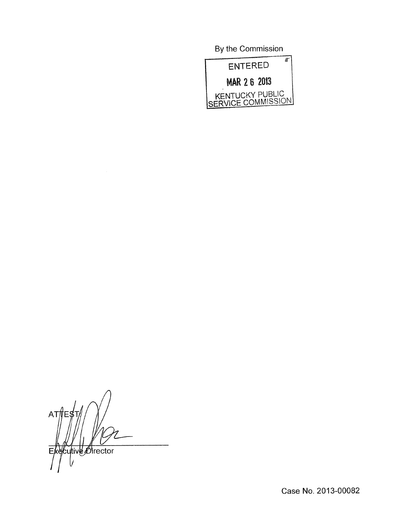By the Commission



 $ATM$ F۶ Cutive *Director* E

Case No. 2013-00082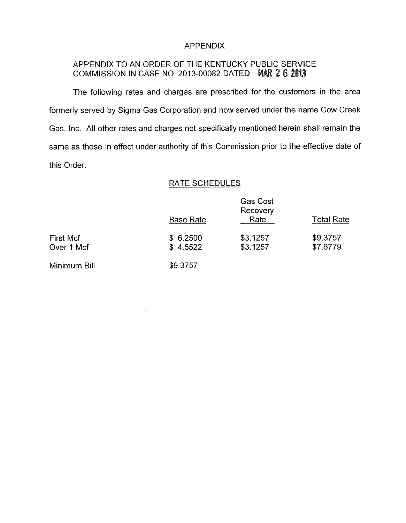### APPENDIX

# APPENDIX TO AN ORDER OF THE KENTUCKY PUBLIC SERVICE COMMISSION IN CASE NO. 2013-00082 DATED MAR 2 6 2013

The following rates and charges are prescribed for the customers in the area formerly served by Sigma Gas Corporation and now served under the name Cow Creek Gas, Inc. All other rates and charges not specifically mentioned herein shall remain the same as those in effect under authority of this Commission prior to the effective date of this Order.

#### RATE SCHEDULES

|                                | <b>RATE SCHEDULES</b> |                                     |                      |
|--------------------------------|-----------------------|-------------------------------------|----------------------|
|                                | <b>Base Rate</b>      | <b>Gas Cost</b><br>Recovery<br>Rate | <b>Total Rate</b>    |
| <b>First Mcf</b><br>Over 1 Mcf | \$6.2500<br>\$4.5522  | \$3.1257<br>\$3.1257                | \$9.3757<br>\$7.6779 |
| Minimum Bill                   | \$9.3757              |                                     |                      |